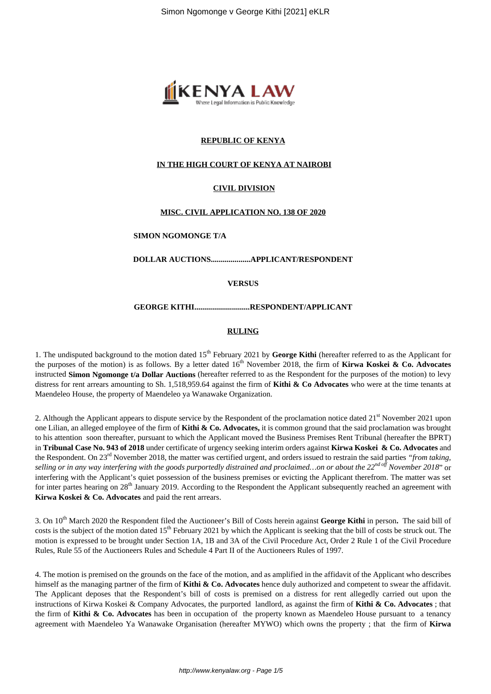

# **REPUBLIC OF KENYA**

## **IN THE HIGH COURT OF KENYA AT NAIROBI**

# **CIVIL DIVISION**

#### **MISC. CIVIL APPLICATION NO. 138 OF 2020**

#### **SIMON NGOMONGE T/A**

**DOLLAR AUCTIONS....................APPLICANT/RESPONDENT**

**VERSUS**

### **GEORGE KITHI............................RESPONDENT/APPLICANT**

### **RULING**

1. The undisputed background to the motion dated 15<sup>th</sup> February 2021 by George Kithi (hereafter referred to as the Applicant for the purposes of the motion) is as follows. By a letter dated 16<sup>th</sup> November 2018, the firm of **Kirwa Koskei & Co. Advocates** instructed **Simon Ngomonge t/a Dollar Auctions** (hereafter referred to as the Respondent for the purposes of the motion) to levy distress for rent arrears amounting to Sh. 1,518,959.64 against the firm of **Kithi & Co Advocates** who were at the time tenants at Maendeleo House, the property of Maendeleo ya Wanawake Organization.

2. Although the Applicant appears to dispute service by the Respondent of the proclamation notice dated 21<sup>st</sup> November 2021 upon one Lilian, an alleged employee of the firm of **Kithi & Co. Advocates,** it is common ground that the said proclamation was brought to his attention soon thereafter, pursuant to which the Applicant moved the Business Premises Rent Tribunal (hereafter the BPRT) in **Tribunal Case No. 943 of 2018** under certificate of urgency seeking interim orders against **Kirwa Koskei & Co. Advocates** and the Respondent. On 23rd November 2018, the matter was certified urgent, and orders issued to restrain the said parties *"from taking, selling or in any way interfering with the goods purportedly distrained and proclaimed…on or about the 22nd off November 2018*" or interfering with the Applicant's quiet possession of the business premises or evicting the Applicant therefrom. The matter was set for inter partes hearing on 28<sup>th</sup> January 2019. According to the Respondent the Applicant subsequently reached an agreement with **Kirwa Koskei & Co. Advocates** and paid the rent arrears.

3. On 10th March 2020 the Respondent filed the Auctioneer's Bill of Costs herein against **George Kithi** in person**.** The said bill of costs is the subject of the motion dated 15<sup>th</sup> February 2021 by which the Applicant is seeking that the bill of costs be struck out. The motion is expressed to be brought under Section 1A, 1B and 3A of the Civil Procedure Act, Order 2 Rule 1 of the Civil Procedure Rules, Rule 55 of the Auctioneers Rules and Schedule 4 Part II of the Auctioneers Rules of 1997.

4. The motion is premised on the grounds on the face of the motion, and as amplified in the affidavit of the Applicant who describes himself as the managing partner of the firm of **Kithi & Co. Advocates** hence duly authorized and competent to swear the affidavit. The Applicant deposes that the Respondent's bill of costs is premised on a distress for rent allegedly carried out upon the instructions of Kirwa Koskei & Company Advocates, the purported landlord, as against the firm of **Kithi & Co. Advocates** ; that the firm of **Kithi & Co. Advocates** has been in occupation of the property known as Maendeleo House pursuant to a tenancy agreement with Maendeleo Ya Wanawake Organisation (hereafter MYWO) which owns the property ; that the firm of **Kirwa**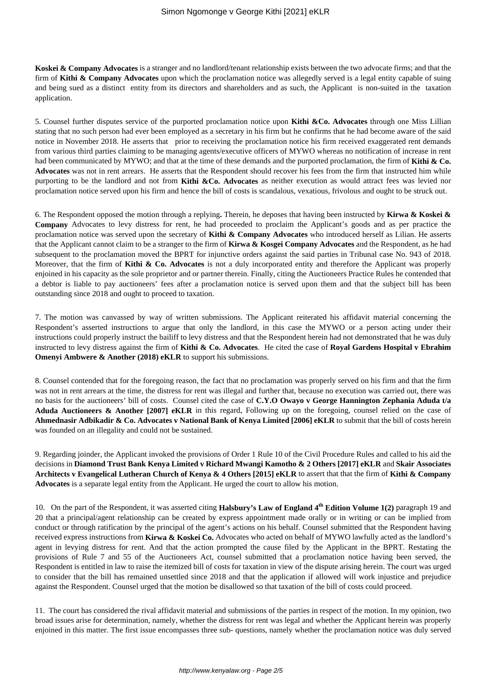**Koskei & Company Advocates** is a stranger and no landlord/tenant relationship exists between the two advocate firms; and that the firm of **Kithi & Company Advocates** upon which the proclamation notice was allegedly served is a legal entity capable of suing and being sued as a distinct entity from its directors and shareholders and as such, the Applicant is non-suited in the taxation application.

5. Counsel further disputes service of the purported proclamation notice upon **Kithi &Co. Advocates** through one Miss Lillian stating that no such person had ever been employed as a secretary in his firm but he confirms that he had become aware of the said notice in November 2018. He asserts that prior to receiving the proclamation notice his firm received exaggerated rent demands from various third parties claiming to be managing agents/executive officers of MYWO whereas no notification of increase in rent had been communicated by MYWO; and that at the time of these demands and the purported proclamation, the firm of **Kithi & Co. Advocates** was not in rent arrears. He asserts that the Respondent should recover his fees from the firm that instructed him while purporting to be the landlord and not from **Kithi &Co. Advocates** as neither execution as would attract fees was levied nor proclamation notice served upon his firm and hence the bill of costs is scandalous, vexatious, frivolous and ought to be struck out.

6. The Respondent opposed the motion through a replying**.** Therein, he deposes that having been instructed by **Kirwa & Koskei & Company** Advocates to levy distress for rent, he had proceeded to proclaim the Applicant's goods and as per practice the proclamation notice was served upon the secretary of **Kithi & Company Advocates** who introduced herself as Lilian. He asserts that the Applicant cannot claim to be a stranger to the firm of **Kirwa & Kosgei Company Advocates** and the Respondent, as he had subsequent to the proclamation moved the BPRT for injunctive orders against the said parties in Tribunal case No. 943 of 2018. Moreover, that the firm of **Kithi & Co. Advocates** is not a duly incorporated entity and therefore the Applicant was properly enjoined in his capacity as the sole proprietor and or partner therein. Finally, citing the Auctioneers Practice Rules he contended that a debtor is liable to pay auctioneers' fees after a proclamation notice is served upon them and that the subject bill has been outstanding since 2018 and ought to proceed to taxation.

7. The motion was canvassed by way of written submissions. The Applicant reiterated his affidavit material concerning the Respondent's asserted instructions to argue that only the landlord, in this case the MYWO or a person acting under their instructions could properly instruct the bailiff to levy distress and that the Respondent herein had not demonstrated that he was duly instructed to levy distress against the firm of **Kithi & Co. Advocates**. He cited the case of **Royal Gardens Hospital v Ebrahim Omenyi Ambwere & Another (2018) eKLR** to support his submissions.

8. Counsel contended that for the foregoing reason, the fact that no proclamation was properly served on his firm and that the firm was not in rent arrears at the time, the distress for rent was illegal and further that, because no execution was carried out, there was no basis for the auctioneers' bill of costs. Counsel cited the case of **C.Y.O Owayo v George Hannington Zephania Aduda t/a Aduda Auctioneers & Another [2007] eKLR** in this regard**.** Following up on the foregoing, counsel relied on the case of **Ahmednasir Adbikadir & Co. Advocates v National Bank of Kenya Limited [2006] eKLR** to submit that the bill of costs herein was founded on an illegality and could not be sustained.

9. Regarding joinder, the Applicant invoked the provisions of Order 1 Rule 10 of the Civil Procedure Rules and called to his aid the decisions in **Diamond Trust Bank Kenya Limited v Richard Mwangi Kamotho & 2 Others [2017] eKLR** and **Skair Associates Architects v Evangelical Lutheran Church of Kenya & 4 Others [2015] eKLR** to assert that that the firm of **Kithi & Company Advocates** is a separate legal entity from the Applicant. He urged the court to allow his motion.

10. On the part of the Respondent, it was asserted citing **Halsbury's Law of England 4th Edition Volume 1(2)** paragraph 19 and 20 that a principal/agent relationship can be created by express appointment made orally or in writing or can be implied from conduct or through ratification by the principal of the agent's actions on his behalf. Counsel submitted that the Respondent having received express instructions from **Kirwa & Koskei Co.** Advocates who acted on behalf of MYWO lawfully acted as the landlord's agent in levying distress for rent. And that the action prompted the cause filed by the Applicant in the BPRT. Restating the provisions of Rule 7 and 55 of the Auctioneers Act, counsel submitted that a proclamation notice having been served, the Respondent is entitled in law to raise the itemized bill of costs for taxation in view of the dispute arising herein. The court was urged to consider that the bill has remained unsettled since 2018 and that the application if allowed will work injustice and prejudice against the Respondent. Counsel urged that the motion be disallowed so that taxation of the bill of costs could proceed.

11. The court has considered the rival affidavit material and submissions of the parties in respect of the motion. In my opinion, two broad issues arise for determination, namely, whether the distress for rent was legal and whether the Applicant herein was properly enjoined in this matter. The first issue encompasses three sub- questions, namely whether the proclamation notice was duly served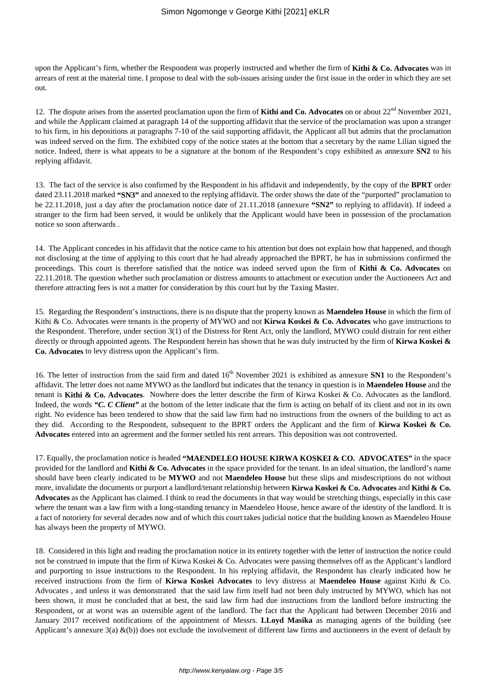upon the Applicant's firm, whether the Respondent was properly instructed and whether the firm of **Kithi & Co. Advocates** was in arrears of rent at the material time. I propose to deal with the sub-issues arising under the first issue in the order in which they are set out.

12. The dispute arises from the asserted proclamation upon the firm of **Kithi and Co. Advocates** on or about  $22<sup>nd</sup>$  November 2021, and while the Applicant claimed at paragraph 14 of the supporting affidavit that the service of the proclamation was upon a stranger to his firm, in his depositions at paragraphs 7-10 of the said supporting affidavit, the Applicant all but admits that the proclamation was indeed served on the firm. The exhibited copy of the notice states at the bottom that a secretary by the name Lilian signed the notice. Indeed, there is what appears to be a signature at the bottom of the Respondent's copy exhibited as annexure **SN2** to his replying affidavit.

13. The fact of the service is also confirmed by the Respondent in his affidavit and independently, by the copy of the **BPRT** order dated 23.11.2018 marked **"SN3"** and annexed to the replying affidavit. The order shows the date of the "purported" proclamation to be 22.11.2018, just a day after the proclamation notice date of 21.11.2018 (annexure **"SN2"** to replying to affidavit). If indeed a stranger to the firm had been served, it would be unlikely that the Applicant would have been in possession of the proclamation notice so soon afterwards .

14. The Applicant concedes in his affidavit that the notice came to his attention but does not explain how that happened, and though not disclosing at the time of applying to this court that he had already approached the BPRT, he has in submissions confirmed the proceedings. This court is therefore satisfied that the notice was indeed served upon the firm of **Kithi & Co. Advocates** on 22.11.2018. The question whether such proclamation or distress amounts to attachment or execution under the Auctioneers Act and therefore attracting fees is not a matter for consideration by this court but by the Taxing Master.

15. Regarding the Respondent's instructions, there is no dispute that the property known as **Maendeleo House** in which the firm of Kithi & Co. Advocates were tenants is the property of MYWO and not **Kirwa Koskei & Co. Advocates** who gave instructions to the Respondent. Therefore, under section 3(1) of the Distress for Rent Act, only the landlord, MYWO could distrain for rent either directly or through appointed agents. The Respondent herein has shown that he was duly instructed by the firm of **Kirwa Koskei & Co. Advocates** to levy distress upon the Applicant's firm.

16. The letter of instruction from the said firm and dated  $16<sup>th</sup>$  November 2021 is exhibited as annexure **SN1** to the Respondent's affidavit. The letter does not name MYWO as the landlord but indicates that the tenancy in question is in **Maendeleo House** and the tenant is **Kithi & Co. Advocates**. Nowhere does the letter describe the firm of Kirwa Koskei & Co. Advocates as the landlord. Indeed, the words *"C. C Client"* at the bottom of the letter indicate that the firm is acting on behalf of its client and not in its own right. No evidence has been tendered to show that the said law firm had no instructions from the owners of the building to act as they did. According to the Respondent, subsequent to the BPRT orders the Applicant and the firm of **Kirwa Koskei & Co. Advocates** entered into an agreement and the former settled his rent arrears. This deposition was not controverted.

17. Equally, the proclamation notice is headed **"MAENDELEO HOUSE KIRWA KOSKEI & CO. ADVOCATES"** in the space provided for the landlord and **Kithi & Co. Advocates** in the space provided for the tenant. In an ideal situation, the landlord's name should have been clearly indicated to be **MYWO** and not **Maendeleo House** but these slips and misdescriptions do not without more, invalidate the documents or purport a landlord/tenant relationship between **Kirwa Koskei & Co. Advocates** and **Kithi & Co. Advocates** as the Applicant has claimed. I think to read the documents in that way would be stretching things, especially in this case where the tenant was a law firm with a long-standing tenancy in Maendeleo House, hence aware of the identity of the landlord. It is a fact of notoriety for several decades now and of which this court takes judicial notice that the building known as Maendeleo House has always been the property of MYWO.

18. Considered in this light and reading the proclamation notice in its entirety together with the letter of instruction the notice could not be construed to impute that the firm of Kirwa Koskei & Co. Advocates were passing themselves off as the Applicant's landlord and purporting to issue instructions to the Respondent. In his replying affidavit, the Respondent has clearly indicated how he received instructions from the firm of **Kirwa Koskei Advocates** to levy distress at **Maendeleo House** against Kithi & Co. Advocates , and unless it was demonstrated that the said law firm itself had not been duly instructed by MYWO, which has not been shown, it must be concluded that at best, the said law firm had due instructions from the landlord before instructing the Respondent, or at worst was an ostensible agent of the landlord. The fact that the Applicant had between December 2016 and January 2017 received notifications of the appointment of Messrs. **LLoyd Masika** as managing agents of the building (see Applicant's annexure  $3(a) \& (b)$  does not exclude the involvement of different law firms and auctioneers in the event of default by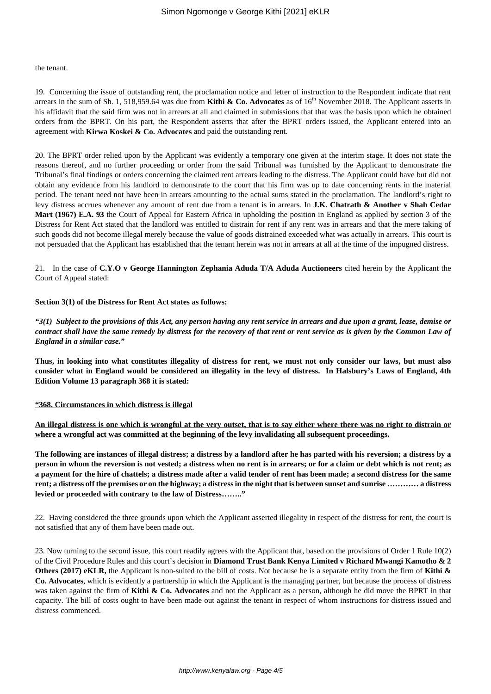#### the tenant.

19. Concerning the issue of outstanding rent, the proclamation notice and letter of instruction to the Respondent indicate that rent arrears in the sum of Sh. 1, 518,959.64 was due from **Kithi & Co. Advocates** as of  $16<sup>th</sup>$  November 2018. The Applicant asserts in his affidavit that the said firm was not in arrears at all and claimed in submissions that that was the basis upon which he obtained orders from the BPRT. On his part, the Respondent asserts that after the BPRT orders issued, the Applicant entered into an agreement with **Kirwa Koskei & Co. Advocates** and paid the outstanding rent.

20. The BPRT order relied upon by the Applicant was evidently a temporary one given at the interim stage. It does not state the reasons thereof, and no further proceeding or order from the said Tribunal was furnished by the Applicant to demonstrate the Tribunal's final findings or orders concerning the claimed rent arrears leading to the distress. The Applicant could have but did not obtain any evidence from his landlord to demonstrate to the court that his firm was up to date concerning rents in the material period. The tenant need not have been in arrears amounting to the actual sums stated in the proclamation. The landlord's right to levy distress accrues whenever any amount of rent due from a tenant is in arrears. In **J.K. Chatrath & Another v Shah Cedar Mart (1967) E.A. 93** the Court of Appeal for Eastern Africa in upholding the position in England as applied by section 3 of the Distress for Rent Act stated that the landlord was entitled to distrain for rent if any rent was in arrears and that the mere taking of such goods did not become illegal merely because the value of goods distrained exceeded what was actually in arrears. This court is not persuaded that the Applicant has established that the tenant herein was not in arrears at all at the time of the impugned distress.

21. In the case of **C.Y.O v George Hannington Zephania Aduda T/A Aduda Auctioneers** cited herein by the Applicant the Court of Appeal stated:

#### **Section 3(1) of the Distress for Rent Act states as follows:**

*"3(1) Subject to the provisions of this Act, any person having any rent service in arrears and due upon a grant, lease, demise or contract shall have the same remedy by distress for the recovery of that rent or rent service as is given by the Common Law of England in a similar case."*

**Thus, in looking into what constitutes illegality of distress for rent, we must not only consider our laws, but must also consider what in England would be considered an illegality in the levy of distress. In Halsbury's Laws of England, 4th Edition Volume 13 paragraph 368 it is stated:**

#### **"368. Circumstances in which distress is illegal**

**An illegal distress is one which is wrongful at the very outset, that is to say either where there was no right to distrain or where a wrongful act was committed at the beginning of the levy invalidating all subsequent proceedings.**

**The following are instances of illegal distress; a distress by a landlord after he has parted with his reversion; a distress by a person in whom the reversion is not vested; a distress when no rent is in arrears; or for a claim or debt which is not rent; as a payment for the hire of chattels; a distress made after a valid tender of rent has been made; a second distress for the same rent; a distress off the premises or on the highway; a distress in the night that is between sunset and sunrise ………… a distress levied or proceeded with contrary to the law of Distress…….."**

22. Having considered the three grounds upon which the Applicant asserted illegality in respect of the distress for rent, the court is not satisfied that any of them have been made out.

23. Now turning to the second issue, this court readily agrees with the Applicant that, based on the provisions of Order 1 Rule 10(2) of the Civil Procedure Rules and this court's decision in **Diamond Trust Bank Kenya Limited v Richard Mwangi Kamotho & 2 Others (2017) eKLR,** the Applicant is non-suited to the bill of costs. Not because he is a separate entity from the firm of **Kithi & Co. Advocates**, which is evidently a partnership in which the Applicant is the managing partner, but because the process of distress was taken against the firm of **Kithi & Co. Advocates** and not the Applicant as a person, although he did move the BPRT in that capacity. The bill of costs ought to have been made out against the tenant in respect of whom instructions for distress issued and distress commenced.